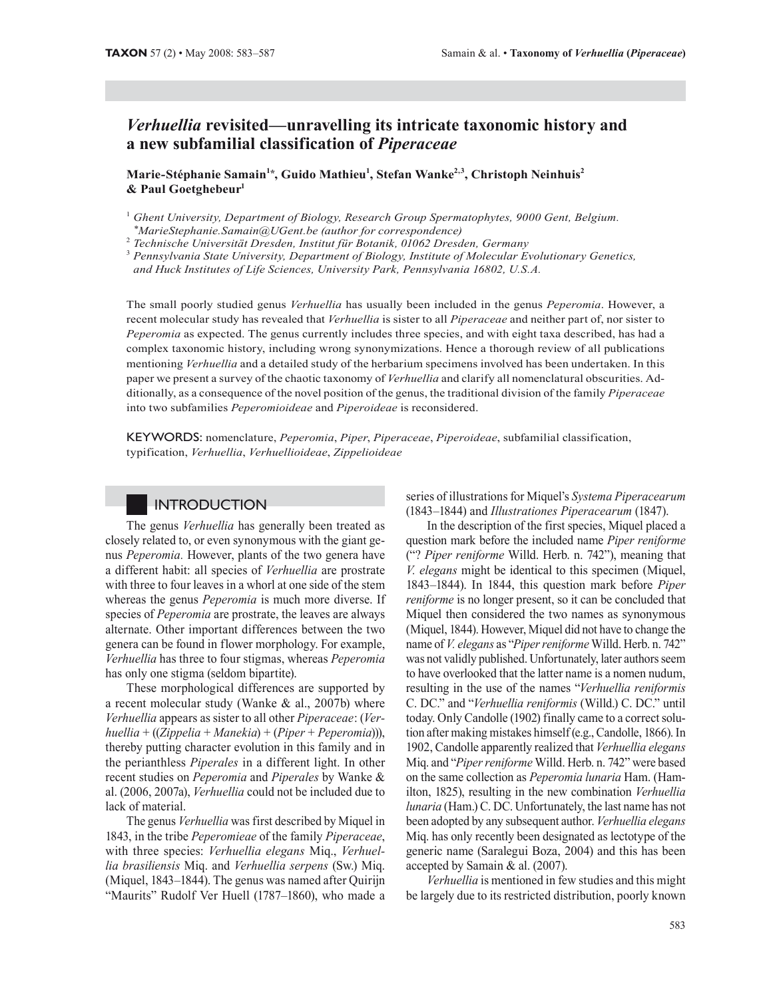# *Verhuellia* **revisited—unravelling its intricate taxonomic history and a new subfamilial classification of** *Piperaceae*

**Marie-Stéphanie Samain1\*, Guido Mathieu1 , Stefan Wanke2,3, Christoph Neinhuis2 & Paul Goetghebeur1**

 *Technische Universität Dresden, Institut für Botanik, 01062 Dresden, Germany*

The small poorly studied genus *Verhuellia* has usually been included in the genus *Peperomia*. However, a recent molecular study has revealed that *Verhuellia* is sister to all *Piperaceae* and neither part of, nor sister to *Peperomia* as expected. The genus currently includes three species, and with eight taxa described, has had a complex taxonomic history, including wrong synonymizations. Hence a thorough review of all publications mentioning *Verhuellia* and a detailed study of the herbarium specimens involved has been undertaken. In this paper we present a survey of the chaotic taxonomy of *Verhuellia* and clarify all nomenclatural obscurities. Additionally, as a consequence of the novel position of the genus, the traditional division of the family *Piperaceae* into two subfamilies *Peperomioideae* and *Piperoideae* is reconsidered.

KEYWORDS: nomenclature, *Peperomia*, *Piper*, *Piperaceae*, *Piperoideae*, subfamilial classification, typification, *Verhuellia*, *Verhuellioideae*, *Zippelioideae*

## **INTRODUCTION**

The genus *Verhuellia* has generally been treated as closely related to, or even synonymous with the giant genus *Peperomia.* However, plants of the two genera have a different habit: all species of *Verhuellia* are prostrate with three to four leaves in a whorl at one side of the stem whereas the genus *Peperomia* is much more diverse. If species of *Peperomia* are prostrate, the leaves are always alternate. Other important differences between the two genera can be found in flower morphology. For example, *Verhuellia* has three to four stigmas, whereas *Peperomia* has only one stigma (seldom bipartite).

These morphological differences are supported by a recent molecular study (Wanke & al., 2007b) where *Verhuellia* appears as sister to all other *Piperaceae* : (*Verhuellia* + ((*Zippelia* + *Manekia*) + (*Piper* + *Peperomia*))), thereby putting character evolution in this family and in the perianthless *Piperales* in a different light. In other recent studies on *Peperomia* and *Piperales* by Wanke & al. (2006, 2007a), *Verhuellia* could not be included due to lack of material.

The genus *Verhuellia* was first described by Miquel in 1843, in the tribe *Peperomieae* of the family *Piperaceae*, with three species: *Verhuellia elegans* Miq., *Verhuellia brasiliensis* Miq. and *Verhuellia serpens* (Sw.) Miq. (Miquel, 1843–1844). The genus was named after Quirijn "Maurits" Rudolf Ver Huell (1787–1860), who made a

series of illustrations for Miquel's *Systema Piperacearum* (1843–1844) and *Illustrationes Piperacearum* (1847).

In the description of the first species, Miquel placed a question mark before the included name *Piper reniforme* ("? *Piper reniforme* Willd. Herb. n. 742"), meaning that *V. elegans* might be identical to this specimen (Miquel, 1843–1844). In 1844, this question mark before *Piper reniforme* is no longer present, so it can be concluded that Miquel then considered the two names as synonymous (Miquel, 1844). However, Miquel did not have to change the name of *V. elegans* as "*Piper reniforme* Willd. Herb. n. 742" was not validly published. Unfortunately, later authors seem to have overlooked that the latter name is a nomen nudum, resulting in the use of the names "*Verhuellia reniformis* C. DC." and "*Verhuellia reniformis* (Willd.) C. DC." until today. Only Candolle (1902) finally came to a correct solution after making mistakes himself (e.g., Candolle, 1866). In 1902, Candolle apparently realized that *Verhuellia elegans* Miq. and "*Piper reniforme* Willd. Herb. n. 742" were based on the same collection as *Peperomia lunaria* Ham. (Hamilton, 1825), resulting in the new combination *Verhuellia lunaria* (Ham.) C. DC. Unfortunately, the last name has not been adopted by any subsequent author. *Verhuellia elegans* Miq. has only recently been designated as lectotype of the generic name (Saralegui Boza, 2004) and this has been accepted by Samain & al. (2007).

*Verhuellia* is mentioned in few studies and this might be largely due to its restricted distribution, poorly known

<sup>&</sup>lt;sup>1</sup> Ghent University, Department of Biology, Research Group Spermatophytes, 9000 Gent, Belgium. *\*MarieStephanie.Samain@UGent.be (author for correspondence)* <sup>2</sup>

<sup>3</sup>  *Pennsylvania State University, Department of Biology, Institute of Molecular Evolutionary Genetics, and Huck Institutes of Life Sciences, University Park, Pennsylvania 16802, U.S.A.*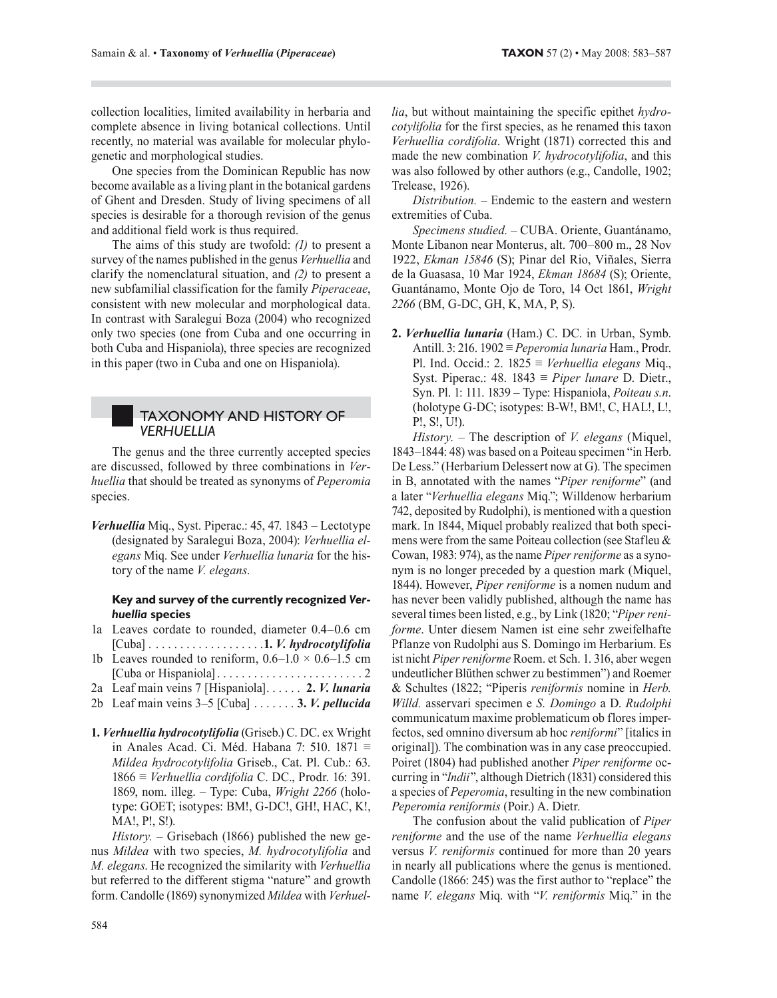collection localities, limited availability in herbaria and complete absence in living botanical collections. Until recently, no material was available for molecular phylogenetic and morphological studies.

One species from the Dominican Republic has now become available as a living plant in the botanical gardens of Ghent and Dresden. Study of living specimens of all species is desirable for a thorough revision of the genus and additional field work is thus required.

The aims of this study are twofold: *(1)* to present a survey of the names published in the genus *Verhuellia* and clarify the nomenclatural situation, and *(2)* to present a new subfamilial classification for the family *Piperaceae*, consistent with new molecular and morphological data. In contrast with Saralegui Boza (2004) who recognized only two species (one from Cuba and one occurring in both Cuba and Hispaniola), three species are recognized in this paper (two in Cuba and one on Hispaniola).

#### TAXONOMY AND HISTORY OF *VERHUELLIA*

The genus and the three currently accepted species are discussed, followed by three combinations in *Verhuellia* that should be treated as synonyms of *Peperomia* species.

*Verhuellia* Miq., Syst. Piperac.: 45, 47. 1843 – Lectotype (designated by Saralegui Boza, 2004): *Verhuellia elegans* Miq. See under *Verhuellia lunaria* for the history of the name *V. elegans*.

#### **Key and survey of the currently recognized** *Verhuellia* **species**

- 1a Leaves cordate to rounded, diameter 0.4–0.6 cm [Cuba] . . . . . . . . . . . . . . . . . . .**1.** *V. hydrocotylifolia*
- 1b Leaves rounded to reniform,  $0.6-1.0 \times 0.6-1.5$  cm [Cuba or Hispaniola] . . . . . . . . . . . . . . . . . . . . . . . . 2
- 2a Leaf main veins 7 [Hispaniola]. . . . . . **2.** *V. lunaria*
- 2b Leaf main veins 3–5 [Cuba] . . . . . . . **3.** *V. pellucida*
- **1.** *Verhuellia hydrocotylifolia* (Griseb.) C. DC. ex Wright in Anales Acad. Ci. Méd. Habana 7: 510. 1871 ≡ *Mildea hydrocotylifolia* Griseb., Cat. Pl. Cub.: 63. 1866 ≡ *Verhuellia cordifolia* C. DC., Prodr. 16: 391. 1869, nom. illeg. – Type: Cuba, *Wright 2266* (holotype: GOET; isotypes: BM!, G-DC!, GH!, HAC, K!, MA!, P!, S!).

*History. –* Grisebach (1866) published the new genus *Mildea* with two species, *M. hydrocotylifolia* and *M. elegans*. He recognized the similarity with *Verhuellia* but referred to the different stigma "nature" and growth form. Candolle (1869) synonymized *Mildea* with *Verhuel-* *lia*, but without maintaining the specific epithet *hydrocotylifolia* for the first species, as he renamed this taxon *Verhuellia cordifolia*. Wright (1871) corrected this and made the new combination *V. hydrocotylifolia*, and this was also followed by other authors (e.g., Candolle, 1902; Trelease, 1926).

*Distribution. –* Endemic to the eastern and western extremities of Cuba.

*Specimens studied. –* CUBA. Oriente, Guantánamo, Monte Libanon near Monterus, alt. 700–800 m., 28 Nov 1922, *Ekman 15846* (S); Pinar del Rio, Viñales, Sierra de la Guasasa, 10 Mar 1924, *Ekman 18684* (S); Oriente, Guantánamo, Monte Ojo de Toro, 14 Oct 1861, *Wright 2266* (BM, G-DC, GH, K, MA, P, S).

**2.** *Verhuellia lunaria* (Ham.) C. DC. in Urban, Symb. Antill. 3: 216. 1902 ≡ *Peperomia lunaria* Ham., Prodr. Pl. Ind. Occid.: 2. 1825 ≡ *Verhuellia elegans* Miq., Syst. Piperac.: 48. 1843 ≡ *Piper lunare* D. Dietr., Syn. Pl. 1: 111. 1839 – Type: Hispaniola, *Poiteau s.n*. (holotype G-DC; isotypes: B-W!, BM!, C, HAL!, L!, P!, S!, U!).

*History. –* The description of *V. elegans* (Miquel, 1843–1844: 48) was based on a Poiteau specimen "in Herb. De Less." (Herbarium Delessert now at G). The specimen in B, annotated with the names "*Piper reniforme*" (and a later "*Verhuellia elegans* Miq."; Willdenow herbarium 742, deposited by Rudolphi), is mentioned with a question mark. In 1844, Miquel probably realized that both specimens were from the same Poiteau collection (see Stafleu & Cowan, 1983: 974), as the name *Piper reniforme* as a synonym is no longer preceded by a question mark (Miquel, 1844). However, *Piper reniforme* is a nomen nudum and has never been validly published, although the name has several times been listed, e.g., by Link (1820; "*Piper reniforme*. Unter diesem Namen ist eine sehr zweifelhafte Pflanze von Rudolphi aus S. Domingo im Herbarium. Es ist nicht *Piper reniforme* Roem. et Sch. 1. 316, aber wegen undeutlicher Blüthen schwer zu bestimmen") and Roemer & Schultes (1822; "Piperis *reniformis* nomine in *Herb. Willd.* asservari specimen e *S. Domingo* a D. *Rudolphi*  communicatum maxime problematicum ob flores imperfectos, sed omnino diversum ab hoc *reniformi*" [italics in original]). The combination was in any case preoccupied. Poiret (1804) had published another *Piper reniforme* occurring in "*Indii*", although Dietrich (1831) considered this a species of *Peperomia*, resulting in the new combination *Peperomia reniformis* (Poir.) A. Dietr.

The confusion about the valid publication of *Piper reniforme* and the use of the name *Verhuellia elegans* versus *V. reniformis* continued for more than 20 years in nearly all publications where the genus is mentioned. Candolle (1866: 245) was the first author to "replace" the name *V. elegans* Miq. with "*V. reniformis* Miq." in the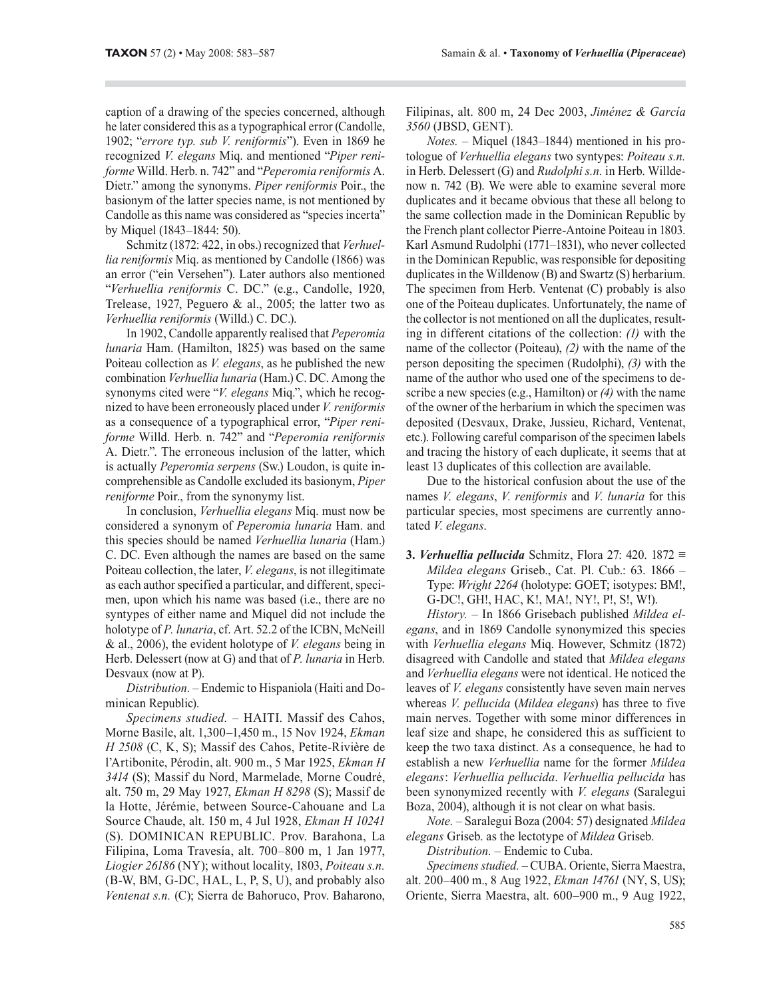caption of a drawing of the species concerned, although he later considered this as a typographical error (Candolle, 1902; "*errore typ. sub V. reniformis*"). Even in 1869 he recognized *V. elegans* Miq. and mentioned "*Piper reniforme* Willd. Herb. n. 742" and "*Peperomia reniformis* A. Dietr." among the synonyms. *Piper reniformis* Poir., the basionym of the latter species name, is not mentioned by Candolle as this name was considered as "species incerta" by Miquel (1843–1844: 50).

Schmitz (1872: 422, in obs.) recognized that *Verhuellia reniformis* Miq. as mentioned by Candolle (1866) was an error ("ein Versehen"). Later authors also mentioned "*Verhuellia reniformis* C. DC." (e.g., Candolle, 1920, Trelease, 1927, Peguero & al., 2005; the latter two as *Verhuellia reniformis* (Willd.) C. DC.).

In 1902, Candolle apparently realised that *Peperomia lunaria* Ham. (Hamilton, 1825) was based on the same Poiteau collection as *V. elegans*, as he published the new combination *Verhuellia lunaria* (Ham.) C. DC. Among the synonyms cited were "*V. elegans* Miq.", which he recognized to have been erroneously placed under *V. reniformis* as a consequence of a typographical error, "*Piper reniforme* Willd. Herb. n. 742" and "*Peperomia reniformis* A. Dietr.". The erroneous inclusion of the latter, which is actually *Peperomia serpens* (Sw.) Loudon, is quite incomprehensible as Candolle excluded its basionym, *Piper reniforme* Poir., from the synonymy list.

In conclusion, *Verhuellia elegans* Miq. must now be considered a synonym of *Peperomia lunaria* Ham. and this species should be named *Verhuellia lunaria* (Ham.) C. DC. Even although the names are based on the same Poiteau collection, the later, *V. elegans*, is not illegitimate as each author specified a particular, and different, specimen, upon which his name was based (i.e., there are no syntypes of either name and Miquel did not include the holotype of *P. lunaria*, cf. Art. 52.2 of the ICBN, McNeill & al., 2006), the evident holotype of *V. elegans* being in Herb. Delessert (now at G) and that of *P. lunaria* in Herb. Desvaux (now at P).

*Distribution. –* Endemic to Hispaniola (Haiti and Dominican Republic).

*Specimens studied. –* HAITI. Massif des Cahos, Morne Basile, alt. 1,300–1,450 m., 15 Nov 1924, *Ekman H 2508* (C, K, S); Massif des Cahos, Petite-Rivière de l'Artibonite, Pérodin, alt. 900 m., 5 Mar 1925, *Ekman H 3414* (S); Massif du Nord, Marmelade, Morne Coudré, alt. 750 m, 29 May 1927, *Ekman H 8298* (S); Massif de la Hotte, Jérémie, between Source-Cahouane and La Source Chaude, alt. 150 m, 4 Jul 1928, *Ekman H 10241* (S). DOMINICAN REPUBLIC. Prov. Barahona, La Filipina, Loma Travesía, alt. 700–800 m, 1 Jan 1977, *Liogier 26186* (NY); without locality, 1803, *Poiteau s.n.* (B-W, BM, G-DC, HAL, L, P, S, U), and probably also *Ventenat s.n.* (C); Sierra de Bahoruco, Prov. Baharono, Filipinas, alt. 800 m, 24 Dec 2003, *Jiménez & García 3560* (JBSD, GENT).

*Notes. –* Miquel (1843–1844) mentioned in his protologue of *Verhuellia elegans* two syntypes: *Poiteau s.n.*  in Herb. Delessert (G) and *Rudolphi s.n.* in Herb. Willdenow n. 742 (B). We were able to examine several more duplicates and it became obvious that these all belong to the same collection made in the Dominican Republic by the French plant collector Pierre-Antoine Poiteau in 1803. Karl Asmund Rudolphi (1771–1831), who never collected in the Dominican Republic, was responsible for depositing duplicates in the Willdenow (B) and Swartz (S) herbarium. The specimen from Herb. Ventenat (C) probably is also one of the Poiteau duplicates. Unfortunately, the name of the collector is not mentioned on all the duplicates, resulting in different citations of the collection: *(1)* with the name of the collector (Poiteau), *(2)* with the name of the person depositing the specimen (Rudolphi), *(3)* with the name of the author who used one of the specimens to describe a new species (e.g., Hamilton) or *(4)* with the name of the owner of the herbarium in which the specimen was deposited (Desvaux, Drake, Jussieu, Richard, Ventenat, etc.). Following careful comparison of the specimen labels and tracing the history of each duplicate, it seems that at least 13 duplicates of this collection are available.

Due to the historical confusion about the use of the names *V. elegans*, *V. reniformis* and *V. lunaria* for this particular species, most specimens are currently annotated *V. elegans*.

**3.** *Verhuellia pellucida* Schmitz, Flora 27: 420. 1872 ≡ *Mildea elegans* Griseb., Cat. Pl. Cub.: 63. 1866 – Type: *Wright 2264* (holotype: GOET; isotypes: BM!, G-DC!, GH!, HAC, K!, MA!, NY!, P!, S!, W!).

*History. –* In 1866 Grisebach published *Mildea elegans*, and in 1869 Candolle synonymized this species with *Verhuellia elegans* Miq. However, Schmitz (1872) disagreed with Candolle and stated that *Mildea elegans* and *Verhuellia elegans* were not identical. He noticed the leaves of *V. elegans* consistently have seven main nerves whereas *V. pellucida* (*Mildea elegans*) has three to five main nerves. Together with some minor differences in leaf size and shape, he considered this as sufficient to keep the two taxa distinct. As a consequence, he had to establish a new *Verhuellia* name for the former *Mildea elegans* : *Verhuellia pellucida*. *Verhuellia pellucida* has been synonymized recently with *V. elegans* (Saralegui Boza, 2004), although it is not clear on what basis.

*Note. –* Saralegui Boza (2004: 57) designated *Mildea elegans* Griseb. as the lectotype of *Mildea* Griseb.

*Distribution. –* Endemic to Cuba.

*Specimens studied. –* CUBA. Oriente, Sierra Maestra, alt. 200–400 m., 8 Aug 1922, *Ekman 14761* (NY, S, US); Oriente, Sierra Maestra, alt. 600–900 m., 9 Aug 1922,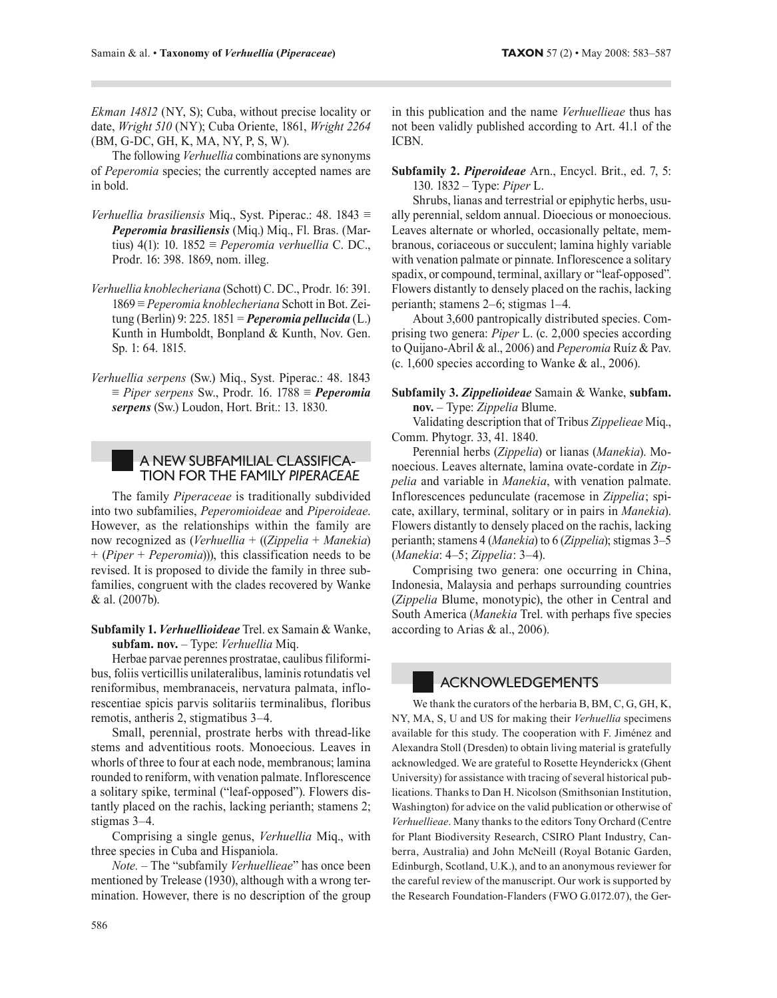*Ekman 14812* (NY, S); Cuba, without precise locality or date, *Wright 510* (NY); Cuba Oriente, 1861, *Wright 2264* (BM, G-DC, GH, K, MA, NY, P, S, W).

The following *Verhuellia* combinations are synonyms of *Peperomia* species; the currently accepted names are in bold.

- *Verhuellia brasiliensis* Miq., Syst. Piperac.: 48. 1843 ≡ *Peperomia brasiliensis* (Miq.) Miq., Fl. Bras. (Martius) 4(1): 10. 1852 ≡ *Peperomia verhuellia* C. DC., Prodr. 16: 398. 1869, nom. illeg.
- *Verhuellia knoblecheriana* (Schott) C. DC., Prodr. 16: 391. 1869 ≡ *Peperomia knoblecheriana* Schott in Bot. Zeitung (Berlin) 9: 225. 1851 = *Peperomia pellucida* (L.) Kunth in Humboldt, Bonpland & Kunth, Nov. Gen. Sp. 1: 64. 1815.
- *Verhuellia serpens* (Sw.) Miq., Syst. Piperac.: 48. 1843 ≡ *Piper serpens* Sw., Prodr. 16. 1788 ≡ *Peperomia serpens* (Sw.) Loudon, Hort. Brit.: 13. 1830.

## A NEW SUBFAMILIAL CLASSIFICA-TION FOR THE FAMILY *PIPERACEAE*

The family *Piperaceae* is traditionally subdivided into two subfamilies, *Peperomioideae* and *Piperoideae*. However, as the relationships within the family are now recognized as (*Verhuellia* + ((*Zippelia* + *Manekia*) + (*Piper* + *Peperomia*))), this classification needs to be revised. It is proposed to divide the family in three subfamilies, congruent with the clades recovered by Wanke & al. (2007b).

**Subfamily 1.** *Verhuellioideae* Trel. ex Samain & Wanke, **subfam. nov.** – Type: *Verhuellia* Miq.

Herbae parvae perennes prostratae, caulibus filiformibus, foliis verticillis unilateralibus, laminis rotundatis vel reniformibus, membranaceis, nervatura palmata, inflorescentiae spicis parvis solitariis terminalibus, floribus remotis, antheris 2, stigmatibus 3–4.

Small, perennial, prostrate herbs with thread-like stems and adventitious roots. Monoecious. Leaves in whorls of three to four at each node, membranous; lamina rounded to reniform, with venation palmate. Inflorescence a solitary spike, terminal ("leaf-opposed"). Flowers distantly placed on the rachis, lacking perianth; stamens 2; stigmas 3–4.

Comprising a single genus, *Verhuellia* Miq., with three species in Cuba and Hispaniola.

*Note. –* The "subfamily *Verhuellieae*" has once been mentioned by Trelease (1930), although with a wrong termination. However, there is no description of the group in this publication and the name *Verhuellieae* thus has not been validly published according to Art. 41.1 of the ICBN.

**Subfamily 2.** *Piperoideae* Arn., Encycl. Brit., ed. 7, 5: 130. 1832 – Type: *Piper* L.

Shrubs, lianas and terrestrial or epiphytic herbs, usually perennial, seldom annual. Dioecious or monoecious. Leaves alternate or whorled, occasionally peltate, membranous, coriaceous or succulent; lamina highly variable with venation palmate or pinnate. Inflorescence a solitary spadix, or compound, terminal, axillary or "leaf-opposed". Flowers distantly to densely placed on the rachis, lacking perianth; stamens 2–6; stigmas 1–4.

About 3,600 pantropically distributed species. Comprising two genera: *Piper* L. (c. 2,000 species according to Quijano-Abril & al., 2006) and *Peperomia* Ruíz & Pav. (c. 1,600 species according to Wanke & al., 2006).

#### **Subfamily 3.** *Zippelioideae* Samain & Wanke, **subfam. nov.** – Type: *Zippelia* Blume.

Validating description that of Tribus *Zippelieae* Miq., Comm. Phytogr. 33, 41. 1840.

Perennial herbs (*Zippelia*) or lianas (*Manekia*). Monoecious. Leaves alternate, lamina ovate-cordate in *Zippelia* and variable in *Manekia*, with venation palmate. Inflorescences pedunculate (racemose in *Zippelia* ; spicate, axillary, terminal, solitary or in pairs in *Manekia*). Flowers distantly to densely placed on the rachis, lacking perianth; stamens 4 (*Manekia*) to 6 (*Zippelia*); stigmas 3–5 (*Manekia*: 4–5 ; *Zippelia* : 3–4).

Comprising two genera: one occurring in China, Indonesia, Malaysia and perhaps surrounding countries (*Zippelia* Blume, monotypic), the other in Central and South America (*Manekia* Trel. with perhaps five species according to Arias & al., 2006).

## ACKNOWLEDGEMENTS

We thank the curators of the herbaria B, BM, C, G, GH, K, NY, MA, S, U and US for making their *Verhuellia* specimens available for this study. The cooperation with F. Jiménez and Alexandra Stoll (Dresden) to obtain living material is gratefully acknowledged. We are grateful to Rosette Heynderickx (Ghent University) for assistance with tracing of several historical publications. Thanks to Dan H. Nicolson (Smithsonian Institution, Washington) for advice on the valid publication or otherwise of *Verhuellieae*. Many thanks to the editors Tony Orchard (Centre for Plant Biodiversity Research, CSIRO Plant Industry, Canberra, Australia) and John McNeill (Royal Botanic Garden, Edinburgh, Scotland, U.K.), and to an anonymous reviewer for the careful review of the manuscript. Our work is supported by the Research Foundation-Flanders (FWO G.0172.07), the Ger